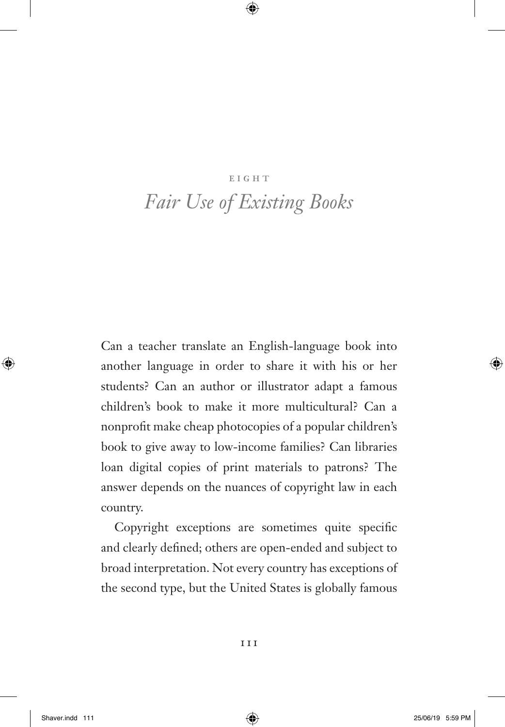#### **EIGHT**

# *Fair Use of Existing Books*

Can a teacher translate an English-language book into another language in order to share it with his or her students? Can an author or illustrator adapt a famous children's book to make it more multicultural? Can a nonprofit make cheap photocopies of a popular children's book to give away to low-income families? Can libraries loan digital copies of print materials to patrons? The answer depends on the nuances of copyright law in each country.

Copyright exceptions are sometimes quite specific and clearly defined; others are open-ended and subject to broad interpretation. Not every country has exceptions of the second type, but the United States is globally famous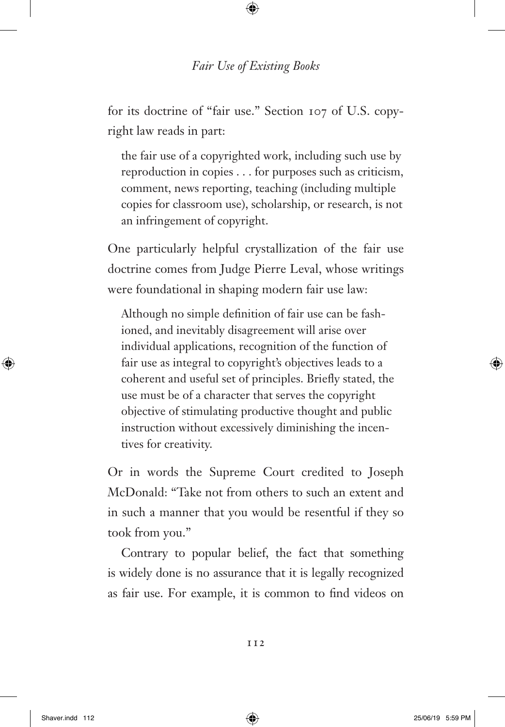for its doctrine of "fair use." Section 107 of U.S. copyright law reads in part:

the fair use of a copyrighted work, including such use by reproduction in copies . . . for purposes such as criticism, comment, news reporting, teaching (including multiple copies for classroom use), scholarship, or research, is not an infringement of copyright.

One particularly helpful crystallization of the fair use doctrine comes from Judge Pierre Leval, whose writings were foundational in shaping modern fair use law:

Although no simple definition of fair use can be fashioned, and inevitably disagreement will arise over individual applications, recognition of the function of fair use as integral to copyright's objectives leads to a coherent and useful set of principles. Briefly stated, the use must be of a character that serves the copyright objective of stimulating productive thought and public instruction without excessively diminishing the incentives for creativity.

Or in words the Supreme Court credited to Joseph McDonald: "Take not from others to such an extent and in such a manner that you would be resentful if they so took from you."

Contrary to popular belief, the fact that something is widely done is no assurance that it is legally recognized as fair use. For example, it is common to find videos on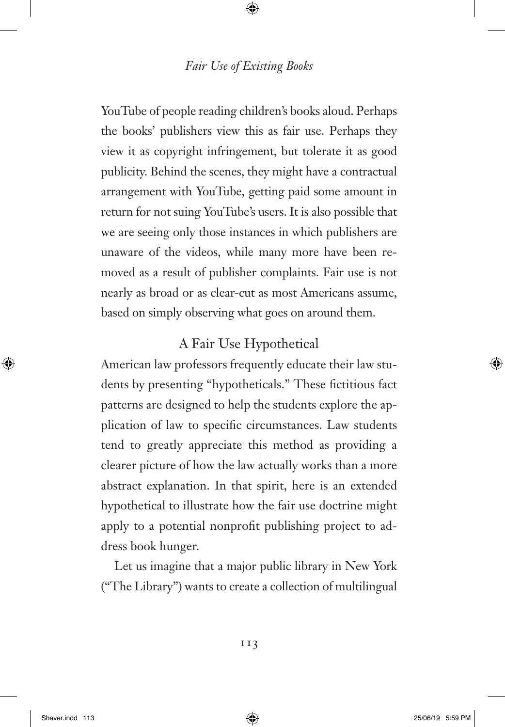YouTube of people reading children's books aloud. Perhaps the books' publishers view this as fair use. Perhaps they view it as copyright infringement, but tolerate it as good publicity. Behind the scenes, they might have a contractual arrangement with YouTube, getting paid some amount in return for not suing YouTube's users. It is also possible that we are seeing only those instances in which publishers are unaware of the videos, while many more have been removed as a result of publisher complaints. Fair use is not nearly as broad or as clear-cut as most Americans assume, based on simply observing what goes on around them.

# A Fair Use Hypothetical

American law professors frequently educate their law students by presenting "hypotheticals." These fictitious fact patterns are designed to help the students explore the application of law to specific circumstances. Law students tend to greatly appreciate this method as providing a clearer picture of how the law actually works than a more abstract explanation. In that spirit, here is an extended hypothetical to illustrate how the fair use doctrine might apply to a potential nonprofit publishing project to address book hunger.

Let us imagine that a major public library in New York ("The Library") wants to create a collection of multilingual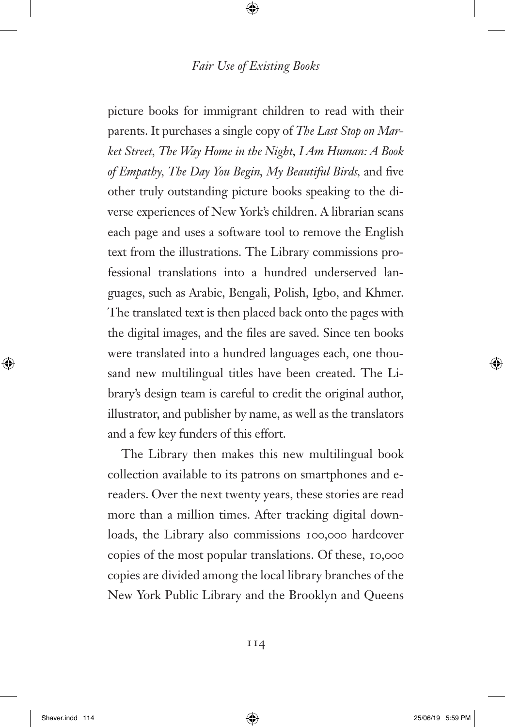picture books for immigrant children to read with their parents. It purchases a single copy of *The Last Stop on Market Street, The Way Home in the Night, I Am Human: A Book of Empathy, The Day You Begin, My Beautiful Birds, and five* other truly outstanding picture books speaking to the diverse experiences of New York's children. A librarian scans each page and uses a software tool to remove the English text from the illustrations. The Library commissions professional translations into a hundred underserved languages, such as Arabic, Bengali, Polish, Igbo, and Khmer. The translated text is then placed back onto the pages with the digital images, and the files are saved. Since ten books were translated into a hundred languages each, one thousand new multilingual titles have been created. The Library's design team is careful to credit the original author, illustrator, and publisher by name, as well as the translators and a few key funders of this effort.

The Library then makes this new multilingual book collection available to its patrons on smartphones and ereaders. Over the next twenty years, these stories are read more than a million times. After tracking digital downloads, the Library also commissions 100,000 hardcover copies of the most popular translations. Of these, 10,000 copies are divided among the local library branches of the New York Public Library and the Brooklyn and Queens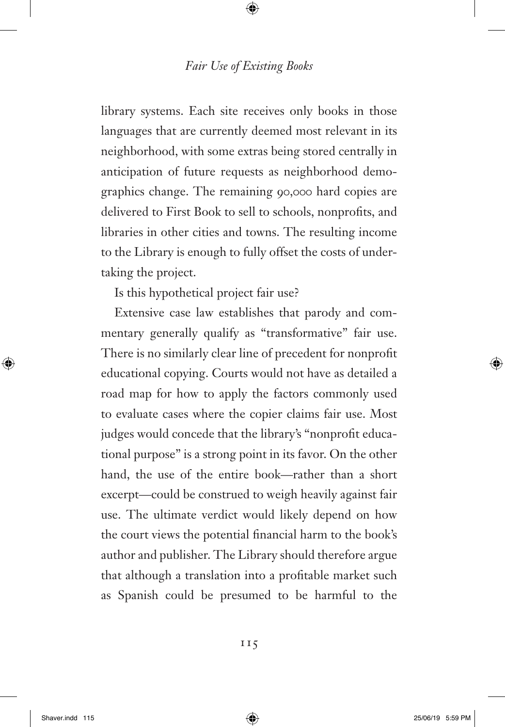library systems. Each site receives only books in those languages that are currently deemed most relevant in its neighborhood, with some extras being stored centrally in anticipation of future requests as neighborhood demographics change. The remaining 90,000 hard copies are delivered to First Book to sell to schools, nonprofits, and libraries in other cities and towns. The resulting income to the Library is enough to fully offset the costs of undertaking the project.

Is this hypothetical project fair use?

Extensive case law establishes that parody and commentary generally qualify as "transformative" fair use. There is no similarly clear line of precedent for nonprofit educational copying. Courts would not have as detailed a road map for how to apply the factors commonly used to evaluate cases where the copier claims fair use. Most judges would concede that the library's "nonprofit educational purpose" is a strong point in its favor. On the other hand, the use of the entire book—rather than a short excerpt—could be construed to weigh heavily against fair use. The ultimate verdict would likely depend on how the court views the potential financial harm to the book's author and publisher. The Library should therefore argue that although a translation into a profitable market such as Spanish could be presumed to be harmful to the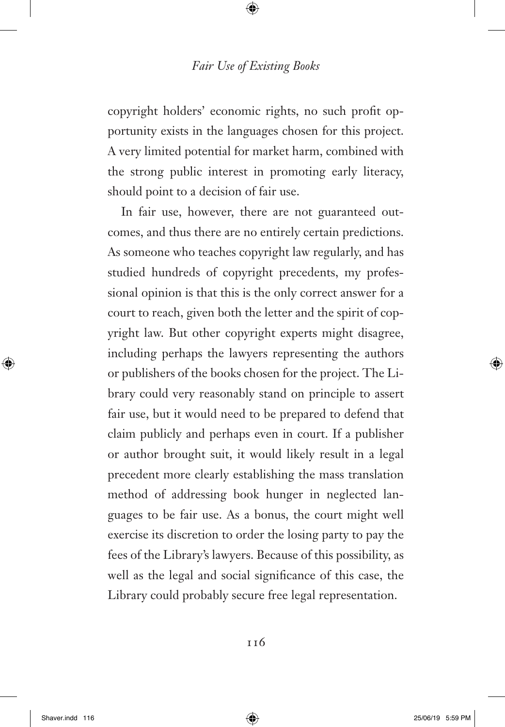copyright holders' economic rights, no such profit opportunity exists in the languages chosen for this project. A very limited potential for market harm, combined with the strong public interest in promoting early literacy, should point to a decision of fair use.

In fair use, however, there are not guaranteed outcomes, and thus there are no entirely certain predictions. As someone who teaches copyright law regularly, and has studied hundreds of copyright precedents, my professional opinion is that this is the only correct answer for a court to reach, given both the letter and the spirit of copyright law. But other copyright experts might disagree, including perhaps the lawyers representing the authors or publishers of the books chosen for the project. The Library could very reasonably stand on principle to assert fair use, but it would need to be prepared to defend that claim publicly and perhaps even in court. If a publisher or author brought suit, it would likely result in a legal precedent more clearly establishing the mass translation method of addressing book hunger in neglected languages to be fair use. As a bonus, the court might well exercise its discretion to order the losing party to pay the fees of the Library's lawyers. Because of this possibility, as well as the legal and social significance of this case, the Library could probably secure free legal representation.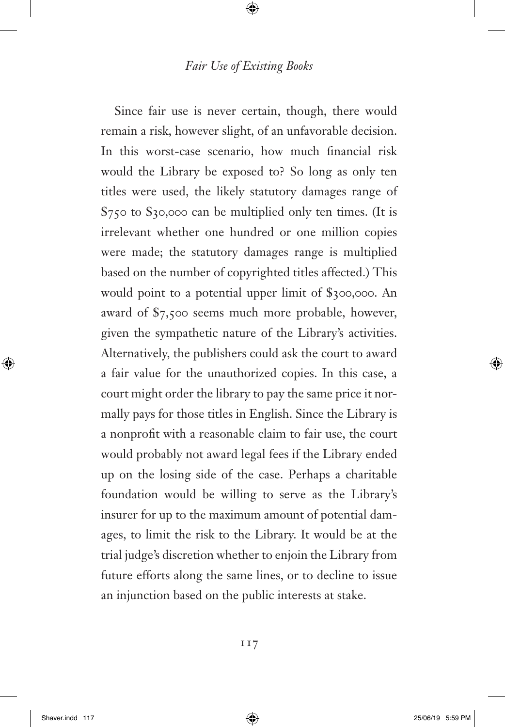Since fair use is never certain, though, there would remain a risk, however slight, of an unfavorable decision. In this worst-case scenario, how much financial risk would the Library be exposed to? So long as only ten titles were used, the likely statutory damages range of \$750 to \$30,000 can be multiplied only ten times. (It is irrelevant whether one hundred or one million copies were made; the statutory damages range is multiplied based on the number of copyrighted titles affected.) This would point to a potential upper limit of \$300,000. An award of \$7,500 seems much more probable, however, given the sympathetic nature of the Library's activities. Alternatively, the publishers could ask the court to award a fair value for the unauthorized copies. In this case, a court might order the library to pay the same price it normally pays for those titles in English. Since the Library is a nonprofit with a reasonable claim to fair use, the court would probably not award legal fees if the Library ended up on the losing side of the case. Perhaps a charitable foundation would be willing to serve as the Library's insurer for up to the maximum amount of potential damages, to limit the risk to the Library. It would be at the trial judge's discretion whether to enjoin the Library from future efforts along the same lines, or to decline to issue an injunction based on the public interests at stake.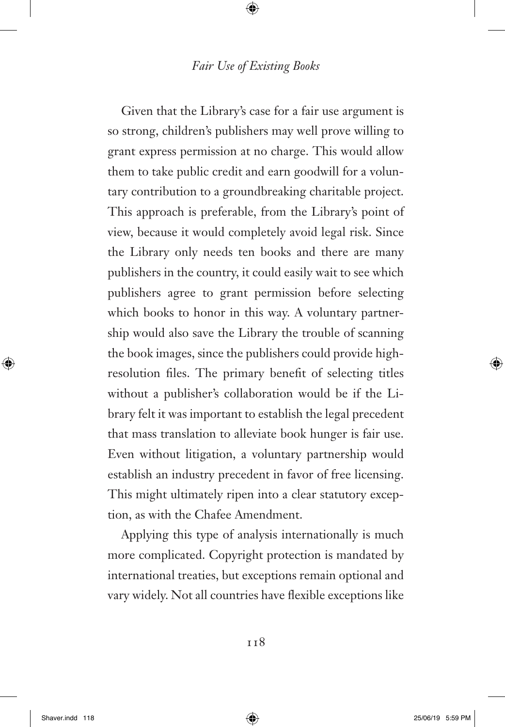Given that the Library's case for a fair use argument is so strong, children's publishers may well prove willing to grant express permission at no charge. This would allow them to take public credit and earn goodwill for a voluntary contribution to a groundbreaking charitable project. This approach is preferable, from the Library's point of view, because it would completely avoid legal risk. Since the Library only needs ten books and there are many publishers in the country, it could easily wait to see which publishers agree to grant permission before selecting which books to honor in this way. A voluntary partnership would also save the Library the trouble of scanning the book images, since the publishers could provide highresolution files. The primary benefit of selecting titles without a publisher's collaboration would be if the Library felt it was important to establish the legal precedent that mass translation to alleviate book hunger is fair use. Even without litigation, a voluntary partnership would establish an industry precedent in favor of free licensing. This might ultimately ripen into a clear statutory exception, as with the Chafee Amendment.

Applying this type of analysis internationally is much more complicated. Copyright protection is mandated by international treaties, but exceptions remain optional and vary widely. Not all countries have flexible exceptions like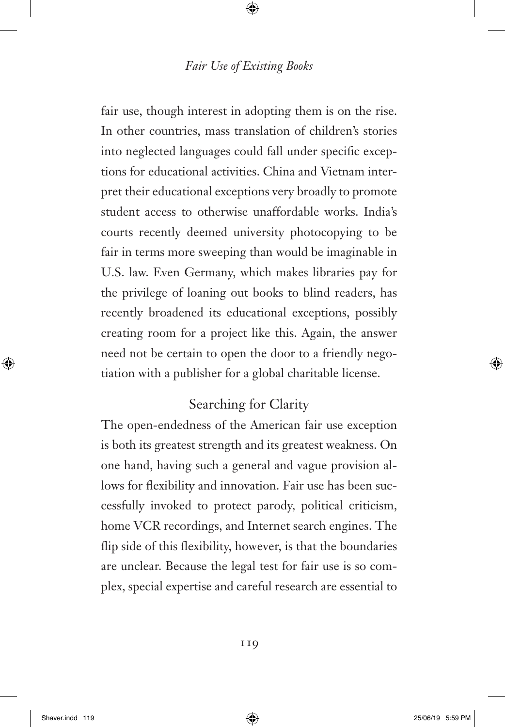fair use, though interest in adopting them is on the rise. In other countries, mass translation of children's stories into neglected languages could fall under specific exceptions for educational activities. China and Vietnam interpret their educational exceptions very broadly to promote student access to otherwise unaffordable works. India's courts recently deemed university photocopying to be fair in terms more sweeping than would be imaginable in U.S. law. Even Germany, which makes libraries pay for the privilege of loaning out books to blind readers, has recently broadened its educational exceptions, possibly creating room for a project like this. Again, the answer need not be certain to open the door to a friendly negotiation with a publisher for a global charitable license.

# Searching for Clarity

The open-endedness of the American fair use exception is both its greatest strength and its greatest weakness. On one hand, having such a general and vague provision allows for flexibility and innovation. Fair use has been successfully invoked to protect parody, political criticism, home VCR recordings, and Internet search engines. The flip side of this flexibility, however, is that the boundaries are unclear. Because the legal test for fair use is so complex, special expertise and careful research are essential to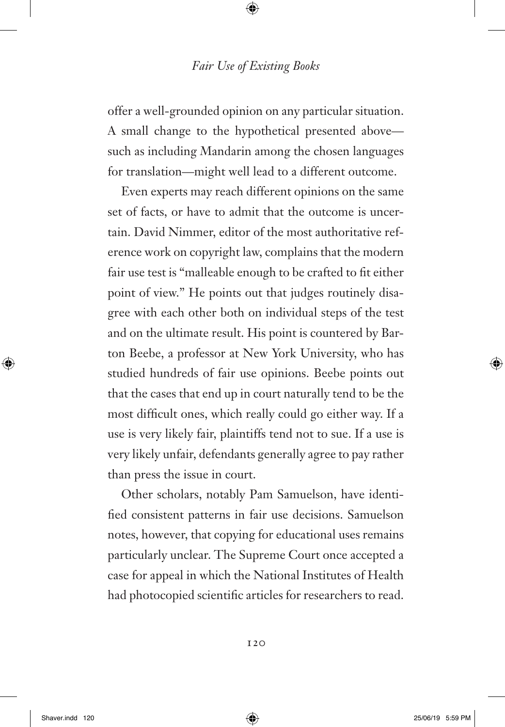offer a well-grounded opinion on any particular situation. A small change to the hypothetical presented above such as including Mandarin among the chosen languages for translation—might well lead to a different outcome.

Even experts may reach different opinions on the same set of facts, or have to admit that the outcome is uncertain. David Nimmer, editor of the most authoritative reference work on copyright law, complains that the modern fair use test is "malleable enough to be crafted to fit either point of view." He points out that judges routinely disagree with each other both on individual steps of the test and on the ultimate result. His point is countered by Barton Beebe, a professor at New York University, who has studied hundreds of fair use opinions. Beebe points out that the cases that end up in court naturally tend to be the most difficult ones, which really could go either way. If a use is very likely fair, plaintiffs tend not to sue. If a use is very likely unfair, defendants generally agree to pay rather than press the issue in court.

Other scholars, notably Pam Samuelson, have identified consistent patterns in fair use decisions. Samuelson notes, however, that copying for educational uses remains particularly unclear. The Supreme Court once accepted a case for appeal in which the National Institutes of Health had photocopied scientific articles for researchers to read.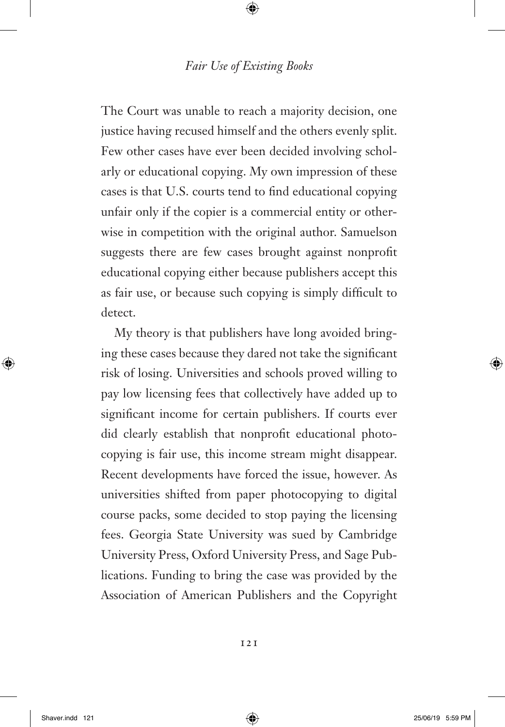The Court was unable to reach a majority decision, one justice having recused himself and the others evenly split. Few other cases have ever been decided involving scholarly or educational copying. My own impression of these cases is that U.S. courts tend to find educational copying unfair only if the copier is a commercial entity or otherwise in competition with the original author. Samuelson suggests there are few cases brought against nonprofit educational copying either because publishers accept this as fair use, or because such copying is simply difficult to detect.

My theory is that publishers have long avoided bringing these cases because they dared not take the significant risk of losing. Universities and schools proved willing to pay low licensing fees that collectively have added up to significant income for certain publishers. If courts ever did clearly establish that nonprofit educational photocopying is fair use, this income stream might disappear. Recent developments have forced the issue, however. As universities shifted from paper photocopying to digital course packs, some decided to stop paying the licensing fees. Georgia State University was sued by Cambridge University Press, Oxford University Press, and Sage Publications. Funding to bring the case was provided by the Association of American Publishers and the Copyright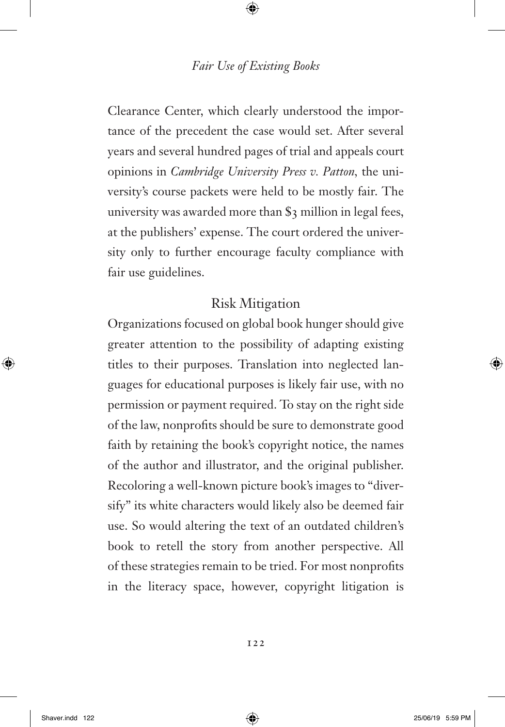Clearance Center, which clearly understood the importance of the precedent the case would set. After several years and several hundred pages of trial and appeals court opinions in *Cambridge University Press v. Patton,* the university's course packets were held to be mostly fair. The university was awarded more than \$3 million in legal fees, at the publishers' expense. The court ordered the university only to further encourage faculty compliance with fair use guidelines.

## Risk Mitigation

Organizations focused on global book hunger should give greater attention to the possibility of adapting existing titles to their purposes. Translation into neglected languages for educational purposes is likely fair use, with no permission or payment required. To stay on the right side of the law, nonprofits should be sure to demonstrate good faith by retaining the book's copyright notice, the names of the author and illustrator, and the original publisher. Recoloring a well-known picture book's images to "diversify" its white characters would likely also be deemed fair use. So would altering the text of an outdated children's book to retell the story from another perspective. All of these strategies remain to be tried. For most nonprofits in the literacy space, however, copyright litigation is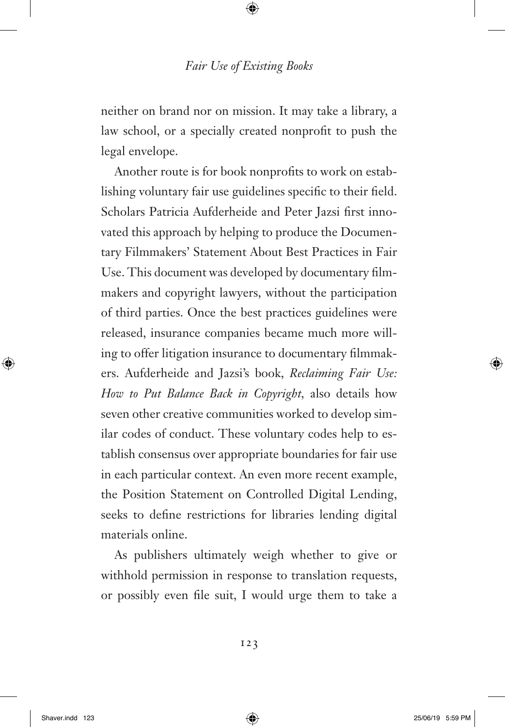neither on brand nor on mission. It may take a library, a law school, or a specially created nonprofit to push the legal envelope.

Another route is for book nonprofits to work on establishing voluntary fair use guidelines specific to their field. Scholars Patricia Aufderheide and Peter Jazsi first innovated this approach by helping to produce the Documentary Filmmakers' Statement About Best Practices in Fair Use. This document was developed by documentary filmmakers and copyright lawyers, without the participation of third parties. Once the best practices guidelines were released, insurance companies became much more willing to offer litigation insurance to documentary filmmakers. Aufderheide and Jazsi's book, *Reclaiming Fair Use: How to Put Balance Back in Copyright,* also details how seven other creative communities worked to develop similar codes of conduct. These voluntary codes help to establish consensus over appropriate boundaries for fair use in each particular context. An even more recent example, the Position Statement on Controlled Digital Lending, seeks to define restrictions for libraries lending digital materials online.

As publishers ultimately weigh whether to give or withhold permission in response to translation requests, or possibly even file suit, I would urge them to take a